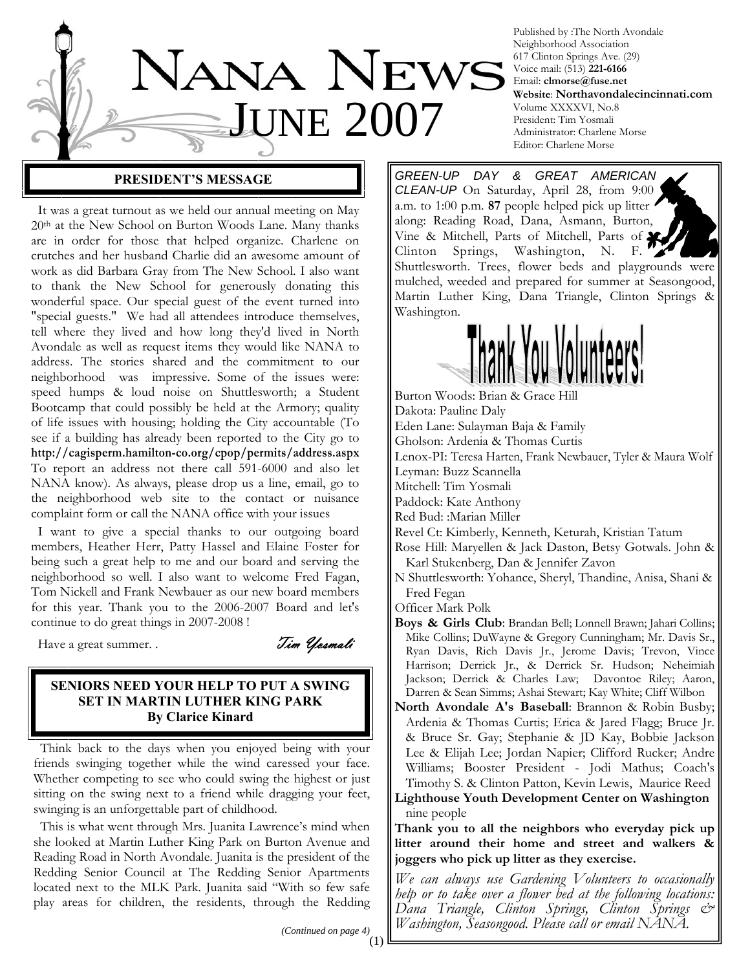

Published by :The North Avondale Neighborhood Association 617 Clinton Springs Ave. (29) Voice mail: (513) **221-6166** Email: **clmorse@fuse.net Website**: **Northavondalecincinnati.com** Volume XXXXVI, No.8 President: Tim Yosmali Administrator: Charlene Morse Editor: Charlene Morse

## **PRESIDENT'S MESSAGE**

 It was a great turnout as we held our annual meeting on May 20th at the New School on Burton Woods Lane. Many thanks are in order for those that helped organize. Charlene on crutches and her husband Charlie did an awesome amount of work as did Barbara Gray from The New School. I also want to thank the New School for generously donating this wonderful space. Our special guest of the event turned into "special guests." We had all attendees introduce themselves, tell where they lived and how long they'd lived in North Avondale as well as request items they would like NANA to address. The stories shared and the commitment to our neighborhood was impressive. Some of the issues were: speed humps & loud noise on Shuttlesworth; a Student Bootcamp that could possibly be held at the Armory; quality of life issues with housing; holding the City accountable (To see if a building has already been reported to the City go to **http://cagisperm.hamilton-co.org/cpop/permits/address.aspx** To report an address not there call 591-6000 and also let NANA know). As always, please drop us a line, email, go to the neighborhood web site to the contact or nuisance complaint form or call the NANA office with your issues

 I want to give a special thanks to our outgoing board members, Heather Herr, Patty Hassel and Elaine Foster for being such a great help to me and our board and serving the neighborhood so well. I also want to welcome Fred Fagan, Tom Nickell and Frank Newbauer as our new board members for this year. Thank you to the 2006-2007 Board and let's continue to do great things in 2007-2008 !

Have a great summer. . Tim *Yosmali* 

## **SENIORS NEED YOUR HELP TO PUT A SWING SET IN MARTIN LUTHER KING PARK By Clarice Kinard**

 Think back to the days when you enjoyed being with your friends swinging together while the wind caressed your face. Whether competing to see who could swing the highest or just sitting on the swing next to a friend while dragging your feet, swinging is an unforgettable part of childhood.

 This is what went through Mrs. Juanita Lawrence's mind when she looked at Martin Luther King Park on Burton Avenue and Reading Road in North Avondale. Juanita is the president of the Redding Senior Council at The Redding Senior Apartments located next to the MLK Park. Juanita said "With so few safe play areas for children, the residents, through the Redding

*GREEN-UP DAY & GREAT AMERICAN CLEAN-UP* On Saturday, April 28, from 9:00 a.m. to 1:00 p.m. **87** people helped pick up litter along: Reading Road, Dana, Asmann, Burton, Vine & Mitchell, Parts of Mitchell, Parts of Clinton Springs, Washington, N. F. Shuttlesworth. Trees, flower beds and playgrounds were mulched, weeded and prepared for summer at Seasongood, Martin Luther King, Dana Triangle, Clinton Springs & Washington.



Burton Woods: Brian & Grace Hill Dakota: Pauline Daly Eden Lane: Sulayman Baja & Family Gholson: Ardenia & Thomas Curtis Lenox-PI: Teresa Harten, Frank Newbauer, Tyler & Maura Wolf Leyman: Buzz Scannella Mitchell: Tim Yosmali Paddock: Kate Anthony Red Bud: :Marian Miller Revel Ct: Kimberly, Kenneth, Keturah, Kristian Tatum Rose Hill: Maryellen & Jack Daston, Betsy Gotwals. John &

- Karl Stukenberg, Dan & Jennifer Zavon
- N Shuttlesworth: Yohance, Sheryl, Thandine, Anisa, Shani & Fred Fegan

Officer Mark Polk

- **Boys & Girls Club**: Brandan Bell; Lonnell Brawn; Jahari Collins; Mike Collins; DuWayne & Gregory Cunningham; Mr. Davis Sr., Ryan Davis, Rich Davis Jr., Jerome Davis; Trevon, Vince Harrison; Derrick Jr., & Derrick Sr. Hudson; Neheimiah Jackson; Derrick & Charles Law; Davontoe Riley; Aaron, Darren & Sean Simms; Ashai Stewart; Kay White; Cliff Wilbon
- **North Avondale A's Baseball**: Brannon & Robin Busby; Ardenia & Thomas Curtis; Erica & Jared Flagg; Bruce Jr. & Bruce Sr. Gay; Stephanie & JD Kay, Bobbie Jackson Lee & Elijah Lee; Jordan Napier; Clifford Rucker; Andre Williams; Booster President - Jodi Mathus; Coach's Timothy S. & Clinton Patton, Kevin Lewis, Maurice Reed
- **Lighthouse Youth Development Center on Washington**  nine people

**Thank you to all the neighbors who everyday pick up litter around their home and street and walkers & joggers who pick up litter as they exercise.** 

*We can always use Gardening Volunteers to occasionally help or to take over a flower bed at the following locations: Dana Triangle, Clinton Springs, Clinton Springs & Washington, Seasongood. Please call or email NANA.*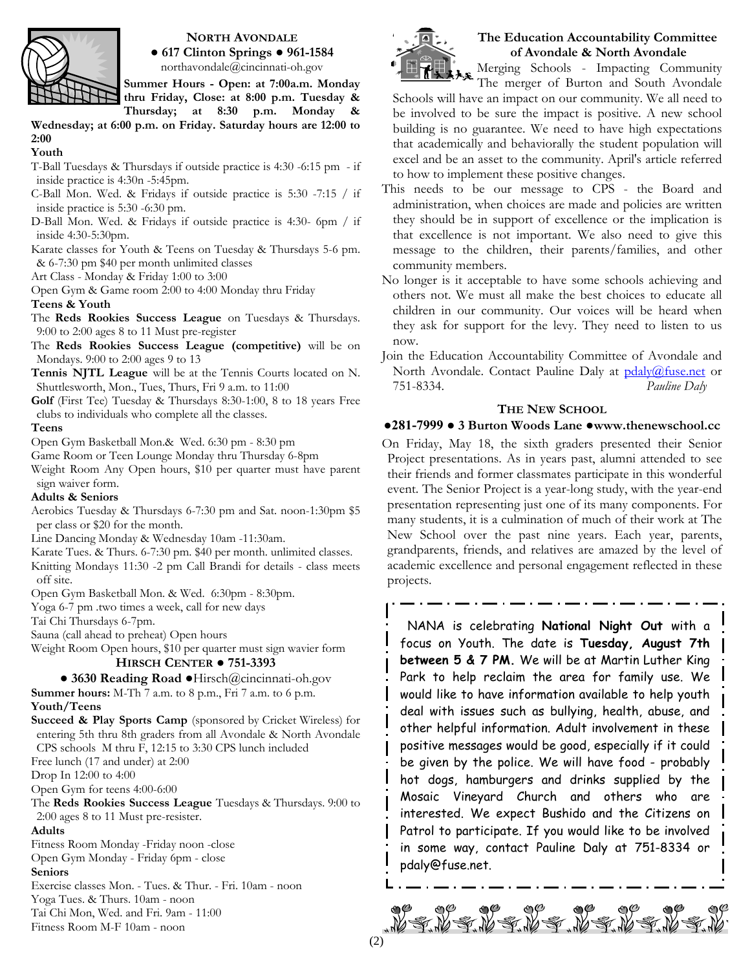

## **NORTH AVONDALE ● 617 Clinton Springs ● 961-1584**

northavondale@cincinnati-oh.gov

**Summer Hours - Open: at 7:00a.m. Monday thru Friday, Close: at 8:00 p.m. Tuesday &** 

**Thursday; at 8:30 p.m. Monday & Wednesday; at 6:00 p.m. on Friday. Saturday hours are 12:00 to 2:00** 

#### **Youth**

T-Ball Tuesdays & Thursdays if outside practice is 4:30 -6:15 pm - if inside practice is 4:30n -5:45pm.

- C-Ball Mon. Wed. & Fridays if outside practice is 5:30 -7:15 / if inside practice is 5:30 -6:30 pm.
- D-Ball Mon. Wed. & Fridays if outside practice is 4:30- 6pm / if inside 4:30-5:30pm.
- Karate classes for Youth & Teens on Tuesday & Thursdays 5-6 pm. & 6-7:30 pm \$40 per month unlimited classes
- Art Class Monday & Friday 1:00 to 3:00

Open Gym & Game room 2:00 to 4:00 Monday thru Friday **Teens & Youth** 

The **Reds Rookies Success League** on Tuesdays & Thursdays. 9:00 to 2:00 ages 8 to 11 Must pre-register

The **Reds Rookies Success League (competitive)** will be on Mondays. 9:00 to 2:00 ages 9 to 13

**Tennis NJTL League** will be at the Tennis Courts located on N. Shuttlesworth, Mon., Tues, Thurs, Fri 9 a.m. to 11:00

**Golf** (First Tee) Tuesday & Thursdays 8:30-1:00, 8 to 18 years Free clubs to individuals who complete all the classes.

## **Teens**

Open Gym Basketball Mon.& Wed. 6:30 pm - 8:30 pm

Game Room or Teen Lounge Monday thru Thursday 6-8pm

Weight Room Any Open hours, \$10 per quarter must have parent sign waiver form.

## **Adults & Seniors**

Aerobics Tuesday & Thursdays 6-7:30 pm and Sat. noon-1:30pm \$5 per class or \$20 for the month.

Line Dancing Monday & Wednesday 10am -11:30am.

Karate Tues. & Thurs. 6-7:30 pm. \$40 per month. unlimited classes. Knitting Mondays 11:30 -2 pm Call Brandi for details - class meets off site.

Open Gym Basketball Mon. & Wed. 6:30pm - 8:30pm.

Yoga 6-7 pm .two times a week, call for new days

Tai Chi Thursdays 6-7pm.

Sauna (call ahead to preheat) Open hours

Weight Room Open hours, \$10 per quarter must sign wavier form

## **HIRSCH CENTER ● 751-3393**

**● 3630 Reading Road ●**Hirsch@cincinnati-oh.gov

**Summer hours:** M-Th 7 a.m. to 8 p.m., Fri 7 a.m. to 6 p.m. **Youth/Teens**

**Succeed & Play Sports Camp** (sponsored by Cricket Wireless) for entering 5th thru 8th graders from all Avondale & North Avondale CPS schools M thru F, 12:15 to 3:30 CPS lunch included

Free lunch (17 and under) at 2:00

Drop In 12:00 to 4:00

Open Gym for teens 4:00-6:00

The **Reds Rookies Success League** Tuesdays & Thursdays. 9:00 to 2:00 ages 8 to 11 Must pre-resister.

## **Adults**

Fitness Room Monday -Friday noon -close Open Gym Monday - Friday 6pm - close **Seniors** Exercise classes Mon. - Tues. & Thur. - Fri. 10am - noon Yoga Tues. & Thurs. 10am - noon Tai Chi Mon, Wed. and Fri. 9am - 11:00

Fitness Room M-F 10am - noon



## **The Education Accountability Committee of Avondale & North Avondale**

Merging Schools - Impacting Community The merger of Burton and South Avondale

Schools will have an impact on our community. We all need to be involved to be sure the impact is positive. A new school building is no guarantee. We need to have high expectations that academically and behaviorally the student population will excel and be an asset to the community. April's article referred to how to implement these positive changes.

- This needs to be our message to CPS the Board and administration, when choices are made and policies are written they should be in support of excellence or the implication is that excellence is not important. We also need to give this message to the children, their parents/families, and other community members.
- No longer is it acceptable to have some schools achieving and others not. We must all make the best choices to educate all children in our community. Our voices will be heard when they ask for support for the levy. They need to listen to us now.
- Join the Education Accountability Committee of Avondale and North Avondale. Contact Pauline Daly at pdaly@fuse.net or 751-8334. *Pauline Daly*

## **THE NEW SCHOOL**

## **●281-7999 ● 3 Burton Woods Lane ●www.thenewschool.cc**

On Friday, May 18, the sixth graders presented their Senior Project presentations. As in years past, alumni attended to see their friends and former classmates participate in this wonderful event. The Senior Project is a year-long study, with the year-end presentation representing just one of its many components. For many students, it is a culmination of much of their work at The New School over the past nine years. Each year, parents, grandparents, friends, and relatives are amazed by the level of academic excellence and personal engagement reflected in these projects.

 NANA is celebrating **National Night Out** with a focus on Youth. The date is **Tuesday, August 7th between 5 & 7 PM.** We will be at Martin Luther King Park to help reclaim the area for family use. We would like to have information available to help youth deal with issues such as bullying, health, abuse, and other helpful information. Adult involvement in these positive messages would be good, especially if it could be given by the police. We will have food - probably hot dogs, hamburgers and drinks supplied by the Mosaic Vineyard Church and others who are interested. We expect Bushido and the Citizens on Patrol to participate. If you would like to be involved in some way, contact Pauline Daly at 751-8334 or pdaly@fuse.net.

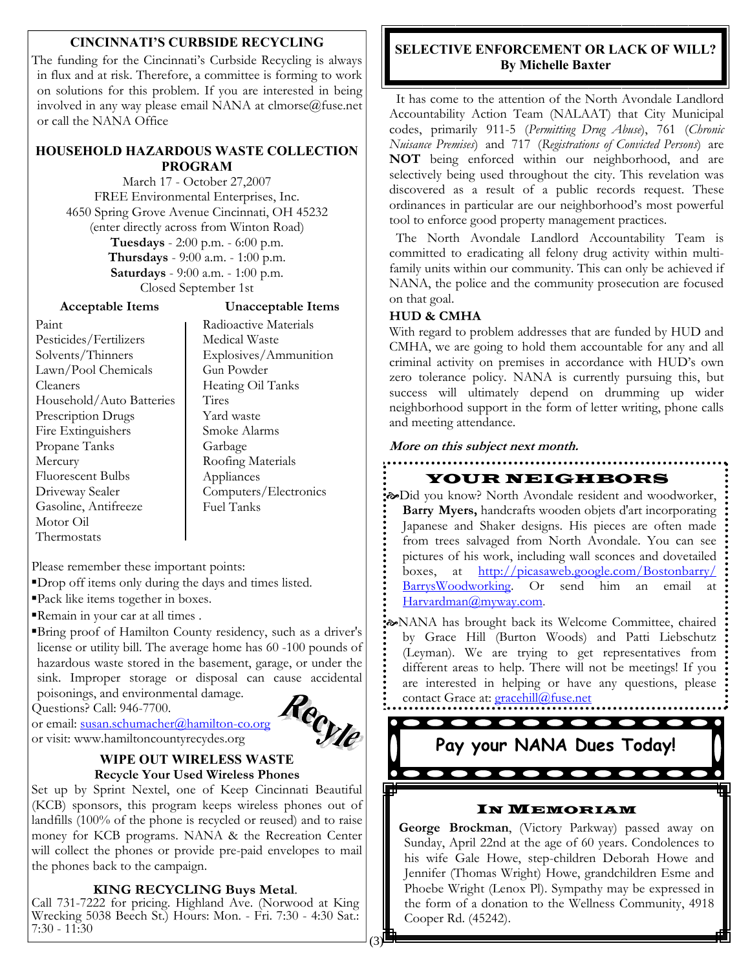## **CINCINNATI'S CURBSIDE RECYCLING**

The funding for the Cincinnati's Curbside Recycling is always in flux and at risk. Therefore, a committee is forming to work on solutions for this problem. If you are interested in being involved in any way please email NANA at clmorse@fuse.net or call the NANA Office

## **HOUSEHOLD HAZARDOUS WASTE COLLECTION PROGRAM**

March 17 - October 27,2007 FREE Environmental Enterprises, Inc. 4650 Spring Grove Avenue Cincinnati, OH 45232 (enter directly across from Winton Road) **Tuesdays** - 2:00 p.m. - 6:00 p.m. **Thursdays** - 9:00 a.m. - 1:00 p.m. **Saturdays** - 9:00 a.m. - 1:00 p.m. Closed September 1st

**Acceptable Items** 

## **Unacceptable Items**

Paint Pesticides/Fertilizers Solvents/Thinners Lawn/Pool Chemicals Cleaners Household/Auto Batteries Prescription Drugs Fire Extinguishers Propane Tanks Mercury Fluorescent Bulbs Driveway Sealer Gasoline, Antifreeze Motor Oil Thermostats

Radioactive Materials Medical Waste Explosives/Ammunition Gun Powder Heating Oil Tanks **Tires** Yard waste Smoke Alarms Garbage Roofing Materials Appliances Computers/Electronics Fuel Tanks

Please remember these important points:

▪Drop off items only during the days and times listed.

▪Pack like items together in boxes.

Remain in your car at all times.

▪Bring proof of Hamilton County residency, such as a driver's license or utility bill. The average home has 60 -100 pounds of hazardous waste stored in the basement, garage, or under the sink. Improper storage or disposal can cause accidental poisonings, and environmental damage.

Questions? Call: 946-7700.

or email: susan.schumacher@hamilton-co.org or visit: www.hamiltoncountyrecydes.org and ch...<br>
Call: 946-7700.<br>
<u>In.schumacher@hamilton-co.org</u><br>
MIPE OUT WIRELESS WASTE



## **Recycle Your Used Wireless Phones**

Set up by Sprint Nextel, one of Keep Cincinnati Beautiful (KCB) sponsors, this program keeps wireless phones out of landfills (100% of the phone is recycled or reused) and to raise money for KCB programs. NANA & the Recreation Center will collect the phones or provide pre-paid envelopes to mail the phones back to the campaign.

**KING RECYCLING Buys Metal.**<br>Call 731-7222 for pricing. Highland Ave. (Norwood at King Wrecking 5038 Beech St.) Hours: Mon. - Fri. 7:30 - 4:30 Sat.: 7:30 - 11:30

## **SELECTIVE ENFORCEMENT OR LACK OF WILL? By Michelle Baxter**

 It has come to the attention of the North Avondale Landlord Accountability Action Team (NALAAT) that City Municipal codes, primarily 911-5 (*Permitting Drug Abuse*), 761 (*Chronic Nuisance Premises*) and 717 (*Registrations of Convicted Persons*) are **NOT** being enforced within our neighborhood, and are selectively being used throughout the city. This revelation was discovered as a result of a public records request. These ordinances in particular are our neighborhood's most powerful tool to enforce good property management practices.

 The North Avondale Landlord Accountability Team is committed to eradicating all felony drug activity within multifamily units within our community. This can only be achieved if NANA, the police and the community prosecution are focused on that goal.

## **HUD & CMHA**

With regard to problem addresses that are funded by HUD and CMHA, we are going to hold them accountable for any and all criminal activity on premises in accordance with HUD's own zero tolerance policy. NANA is currently pursuing this, but success will ultimately depend on drumming up wider neighborhood support in the form of letter writing, phone calls and meeting attendance.

**More on this subject next month.**

## YOUR NEIGHBORS

*EX-Did you know? North Avondale resident and woodworker,* **Barry Myers,** handcrafts wooden objets d'art incorporating Japanese and Shaker designs. His pieces are often made from trees salvaged from North Avondale. You can see pictures of his work, including wall sconces and dovetailed boxes, at http://picasaweb.google.com/Bostonbarry/ BarrysWoodworking. Or send him an email at Harvardman@myway.com.

[NANA has brought back its Welcome Committee, chaired by Grace Hill (Burton Woods) and Patti Liebschutz (Leyman). We are trying to get representatives from different areas to help. There will not be meetings! If you are interested in helping or have any questions, please contact Grace at: **gracehill@fuse.net** 

# **Pay your NANA Dues Today!**

## IN MEMORIAM

**George Brockman**, (Victory Parkway) passed away on Sunday, April 22nd at the age of 60 years. Condolences to his wife Gale Howe, step-children Deborah Howe and Jennifer (Thomas Wright) Howe, grandchildren Esme and Phoebe Wright (Lenox Pl). Sympathy may be expressed in the form of a donation to the Wellness Community, 4918 Cooper Rd. (45242).